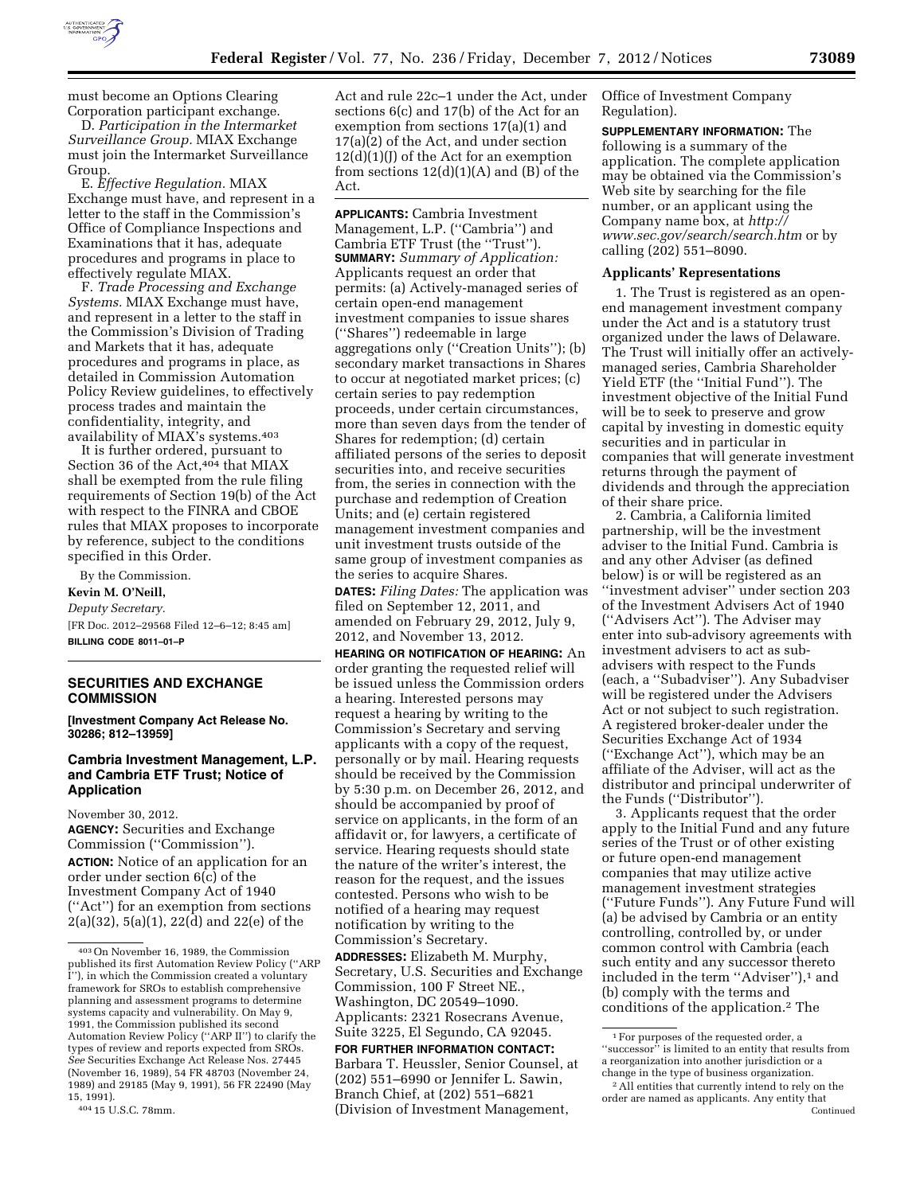

must become an Options Clearing Corporation participant exchange.

D. *Participation in the Intermarket Surveillance Group.* MIAX Exchange must join the Intermarket Surveillance Group.

E. *Effective Regulation.* MIAX Exchange must have, and represent in a letter to the staff in the Commission's Office of Compliance Inspections and Examinations that it has, adequate procedures and programs in place to effectively regulate MIAX.

F. *Trade Processing and Exchange Systems.* MIAX Exchange must have, and represent in a letter to the staff in the Commission's Division of Trading and Markets that it has, adequate procedures and programs in place, as detailed in Commission Automation Policy Review guidelines, to effectively process trades and maintain the confidentiality, integrity, and availability of MIAX's systems.403

It is further ordered, pursuant to Section 36 of the Act,<sup>404</sup> that MIAX shall be exempted from the rule filing requirements of Section 19(b) of the Act with respect to the FINRA and CBOE rules that MIAX proposes to incorporate by reference, subject to the conditions specified in this Order.

By the Commission. **Kevin M. O'Neill,**  *Deputy Secretary.*  [FR Doc. 2012–29568 Filed 12–6–12; 8:45 am] **BILLING CODE 8011–01–P** 

# **SECURITIES AND EXCHANGE COMMISSION**

**[Investment Company Act Release No. 30286; 812–13959]** 

# **Cambria Investment Management, L.P. and Cambria ETF Trust; Notice of Application**

November 30, 2012. **AGENCY:** Securities and Exchange Commission (''Commission''). **ACTION:** Notice of an application for an order under section 6(c) of the Investment Company Act of 1940

(''Act'') for an exemption from sections 2(a)(32), 5(a)(1), 22(d) and 22(e) of the

404 15 U.S.C. 78mm.

Act and rule 22c–1 under the Act, under sections 6(c) and 17(b) of the Act for an exemption from sections 17(a)(1) and 17(a)(2) of the Act, and under section  $12(d)(1)(J)$  of the Act for an exemption from sections  $12(d)(1)(A)$  and  $(B)$  of the Act.

**APPLICANTS:** Cambria Investment Management, L.P. (''Cambria'') and Cambria ETF Trust (the ''Trust''). **SUMMARY:** *Summary of Application:*  Applicants request an order that permits: (a) Actively-managed series of certain open-end management investment companies to issue shares (''Shares'') redeemable in large aggregations only (''Creation Units''); (b) secondary market transactions in Shares to occur at negotiated market prices; (c) certain series to pay redemption proceeds, under certain circumstances, more than seven days from the tender of Shares for redemption; (d) certain affiliated persons of the series to deposit securities into, and receive securities from, the series in connection with the purchase and redemption of Creation Units; and (e) certain registered management investment companies and unit investment trusts outside of the same group of investment companies as the series to acquire Shares.

**DATES:** *Filing Dates:* The application was filed on September 12, 2011, and amended on February 29, 2012, July 9, 2012, and November 13, 2012.

**HEARING OR NOTIFICATION OF HEARING:** An order granting the requested relief will be issued unless the Commission orders a hearing. Interested persons may request a hearing by writing to the Commission's Secretary and serving applicants with a copy of the request, personally or by mail. Hearing requests should be received by the Commission by 5:30 p.m. on December 26, 2012, and should be accompanied by proof of service on applicants, in the form of an affidavit or, for lawyers, a certificate of service. Hearing requests should state the nature of the writer's interest, the reason for the request, and the issues contested. Persons who wish to be notified of a hearing may request notification by writing to the Commission's Secretary.

**ADDRESSES:** Elizabeth M. Murphy, Secretary, U.S. Securities and Exchange Commission, 100 F Street NE., Washington, DC 20549–1090. Applicants: 2321 Rosecrans Avenue, Suite 3225, El Segundo, CA 92045.

**FOR FURTHER INFORMATION CONTACT:**  Barbara T. Heussler, Senior Counsel, at (202) 551–6990 or Jennifer L. Sawin, Branch Chief, at (202) 551–6821 (Division of Investment Management,

Office of Investment Company Regulation).

**SUPPLEMENTARY INFORMATION:** The following is a summary of the application. The complete application may be obtained via the Commission's Web site by searching for the file number, or an applicant using the Company name box, at *[http://](http://www.sec.gov/search/search.htm) [www.sec.gov/search/search.htm](http://www.sec.gov/search/search.htm)* or by calling (202) 551–8090.

## **Applicants' Representations**

1. The Trust is registered as an openend management investment company under the Act and is a statutory trust organized under the laws of Delaware. The Trust will initially offer an activelymanaged series, Cambria Shareholder Yield ETF (the ''Initial Fund''). The investment objective of the Initial Fund will be to seek to preserve and grow capital by investing in domestic equity securities and in particular in companies that will generate investment returns through the payment of dividends and through the appreciation of their share price.

2. Cambria, a California limited partnership, will be the investment adviser to the Initial Fund. Cambria is and any other Adviser (as defined below) is or will be registered as an ''investment adviser'' under section 203 of the Investment Advisers Act of 1940 (''Advisers Act''). The Adviser may enter into sub-advisory agreements with investment advisers to act as subadvisers with respect to the Funds (each, a ''Subadviser''). Any Subadviser will be registered under the Advisers Act or not subject to such registration. A registered broker-dealer under the Securities Exchange Act of 1934 (''Exchange Act''), which may be an affiliate of the Adviser, will act as the distributor and principal underwriter of the Funds (''Distributor'').

3. Applicants request that the order apply to the Initial Fund and any future series of the Trust or of other existing or future open-end management companies that may utilize active management investment strategies (''Future Funds''). Any Future Fund will (a) be advised by Cambria or an entity controlling, controlled by, or under common control with Cambria (each such entity and any successor thereto included in the term "Adviser"),<sup>1</sup> and (b) comply with the terms and conditions of the application.2 The

<sup>403</sup>On November 16, 1989, the Commission published its first Automation Review Policy (''ARP I''), in which the Commission created a voluntary framework for SROs to establish comprehensive planning and assessment programs to determine systems capacity and vulnerability. On May 9, 1991, the Commission published its second Automation Review Policy (''ARP II'') to clarify the types of review and reports expected from SROs. *See* Securities Exchange Act Release Nos. 27445 (November 16, 1989), 54 FR 48703 (November 24, 1989) and 29185 (May 9, 1991), 56 FR 22490 (May 15, 1991).

<sup>1</sup>For purposes of the requested order, a ''successor'' is limited to an entity that results from a reorganization into another jurisdiction or a change in the type of business organization.

<sup>&</sup>lt;sup>2</sup> All entities that currently intend to rely on the order are named as applicants. Any entity that Continued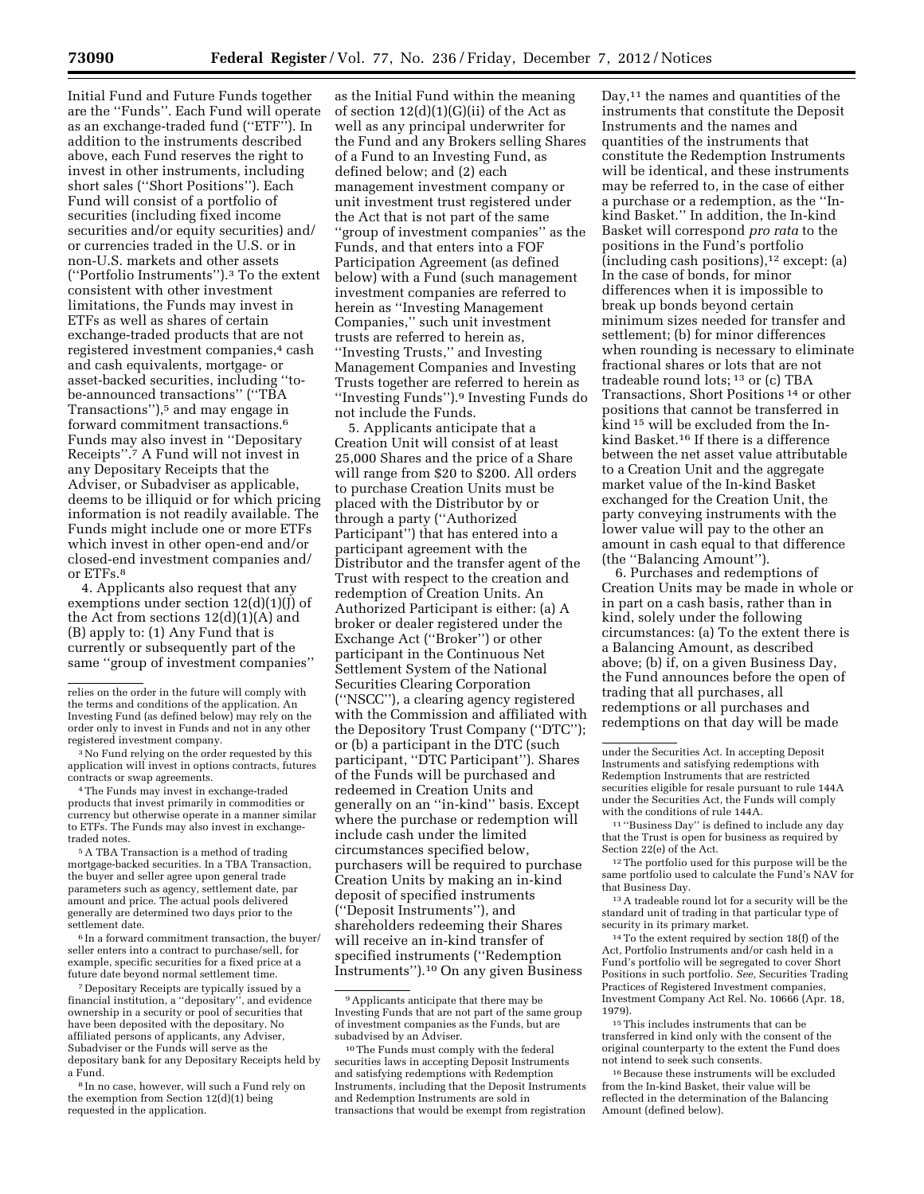Initial Fund and Future Funds together are the ''Funds''. Each Fund will operate as an exchange-traded fund (''ETF''). In addition to the instruments described above, each Fund reserves the right to invest in other instruments, including short sales (''Short Positions''). Each Fund will consist of a portfolio of securities (including fixed income securities and/or equity securities) and/ or currencies traded in the U.S. or in non-U.S. markets and other assets (''Portfolio Instruments'').3 To the extent consistent with other investment limitations, the Funds may invest in ETFs as well as shares of certain exchange-traded products that are not registered investment companies,<sup>4</sup> cash and cash equivalents, mortgage- or asset-backed securities, including ''tobe-announced transactions'' (''TBA Transactions''),5 and may engage in forward commitment transactions.6 Funds may also invest in ''Depositary Receipts''.7 A Fund will not invest in any Depositary Receipts that the Adviser, or Subadviser as applicable, deems to be illiquid or for which pricing information is not readily available. The Funds might include one or more ETFs which invest in other open-end and/or closed-end investment companies and/ or ETFs.8

4. Applicants also request that any exemptions under section  $12(d)(1)(J)$  of the Act from sections  $12(d)(1)(A)$  and (B) apply to: (1) Any Fund that is currently or subsequently part of the same ''group of investment companies''

4The Funds may invest in exchange-traded products that invest primarily in commodities or currency but otherwise operate in a manner similar to ETFs. The Funds may also invest in exchangetraded notes.

5A TBA Transaction is a method of trading mortgage-backed securities. In a TBA Transaction, the buyer and seller agree upon general trade parameters such as agency, settlement date, par amount and price. The actual pools delivered generally are determined two days prior to the settlement date.

6 In a forward commitment transaction, the buyer/ seller enters into a contract to purchase/sell, for example, specific securities for a fixed price at a future date beyond normal settlement time.

7 Depositary Receipts are typically issued by a financial institution, a ''depositary'', and evidence ownership in a security or pool of securities that have been deposited with the depositary. No affiliated persons of applicants, any Adviser, Subadviser or the Funds will serve as the depositary bank for any Depositary Receipts held by a Fund.

as the Initial Fund within the meaning of section 12(d)(1)(G)(ii) of the Act as well as any principal underwriter for the Fund and any Brokers selling Shares of a Fund to an Investing Fund, as defined below; and (2) each management investment company or unit investment trust registered under the Act that is not part of the same ''group of investment companies'' as the Funds, and that enters into a FOF Participation Agreement (as defined below) with a Fund (such management investment companies are referred to herein as ''Investing Management Companies,'' such unit investment trusts are referred to herein as, ''Investing Trusts,'' and Investing Management Companies and Investing Trusts together are referred to herein as ''Investing Funds'').9 Investing Funds do not include the Funds.

5. Applicants anticipate that a Creation Unit will consist of at least 25,000 Shares and the price of a Share will range from \$20 to \$200. All orders to purchase Creation Units must be placed with the Distributor by or through a party (''Authorized Participant'') that has entered into a participant agreement with the Distributor and the transfer agent of the Trust with respect to the creation and redemption of Creation Units. An Authorized Participant is either: (a) A broker or dealer registered under the Exchange Act (''Broker'') or other participant in the Continuous Net Settlement System of the National Securities Clearing Corporation (''NSCC''), a clearing agency registered with the Commission and affiliated with the Depository Trust Company (''DTC''); or (b) a participant in the DTC (such participant, ''DTC Participant''). Shares of the Funds will be purchased and redeemed in Creation Units and generally on an ''in-kind'' basis. Except where the purchase or redemption will include cash under the limited circumstances specified below, purchasers will be required to purchase Creation Units by making an in-kind deposit of specified instruments (''Deposit Instruments''), and shareholders redeeming their Shares will receive an in-kind transfer of specified instruments (''Redemption Instruments'').10 On any given Business

Day,<sup>11</sup> the names and quantities of the instruments that constitute the Deposit Instruments and the names and quantities of the instruments that constitute the Redemption Instruments will be identical, and these instruments may be referred to, in the case of either a purchase or a redemption, as the ''Inkind Basket.'' In addition, the In-kind Basket will correspond *pro rata* to the positions in the Fund's portfolio (including cash positions),12 except: (a) In the case of bonds, for minor differences when it is impossible to break up bonds beyond certain minimum sizes needed for transfer and settlement; (b) for minor differences when rounding is necessary to eliminate fractional shares or lots that are not tradeable round lots; 13 or (c) TBA Transactions, Short Positions 14 or other positions that cannot be transferred in kind 15 will be excluded from the Inkind Basket.16 If there is a difference between the net asset value attributable to a Creation Unit and the aggregate market value of the In-kind Basket exchanged for the Creation Unit, the party conveying instruments with the lower value will pay to the other an amount in cash equal to that difference (the ''Balancing Amount'').

6. Purchases and redemptions of Creation Units may be made in whole or in part on a cash basis, rather than in kind, solely under the following circumstances: (a) To the extent there is a Balancing Amount, as described above; (b) if, on a given Business Day, the Fund announces before the open of trading that all purchases, all redemptions or all purchases and redemptions on that day will be made

14To the extent required by section 18(f) of the Act, Portfolio Instruments and/or cash held in a Fund's portfolio will be segregated to cover Short Positions in such portfolio. *See,* Securities Trading Practices of Registered Investment companies, Investment Company Act Rel. No. 10666 (Apr. 18, 1979).

relies on the order in the future will comply with the terms and conditions of the application. An Investing Fund (as defined below) may rely on the order only to invest in Funds and not in any other registered investment company.

<sup>3</sup>No Fund relying on the order requested by this application will invest in options contracts, futures contracts or swap agreements.

<sup>8</sup> In no case, however, will such a Fund rely on the exemption from Section 12(d)(1) being requested in the application.

<sup>9</sup>Applicants anticipate that there may be Investing Funds that are not part of the same group of investment companies as the Funds, but are subadvised by an Adviser.

<sup>10</sup>The Funds must comply with the federal securities laws in accepting Deposit Instruments and satisfying redemptions with Redemption Instruments, including that the Deposit Instruments and Redemption Instruments are sold in transactions that would be exempt from registration

under the Securities Act. In accepting Deposit Instruments and satisfying redemptions with Redemption Instruments that are restricted securities eligible for resale pursuant to rule 144A under the Securities Act, the Funds will comply with the conditions of rule 144A.

<sup>11</sup> ''Business Day'' is defined to include any day that the Trust is open for business as required by Section 22(e) of the Act.

<sup>12</sup>The portfolio used for this purpose will be the same portfolio used to calculate the Fund's NAV for that Business Day.

<sup>13</sup>A tradeable round lot for a security will be the standard unit of trading in that particular type of security in its primary market.

<sup>15</sup>This includes instruments that can be transferred in kind only with the consent of the original counterparty to the extent the Fund does not intend to seek such consents.

<sup>16</sup>Because these instruments will be excluded from the In-kind Basket, their value will be reflected in the determination of the Balancing Amount (defined below).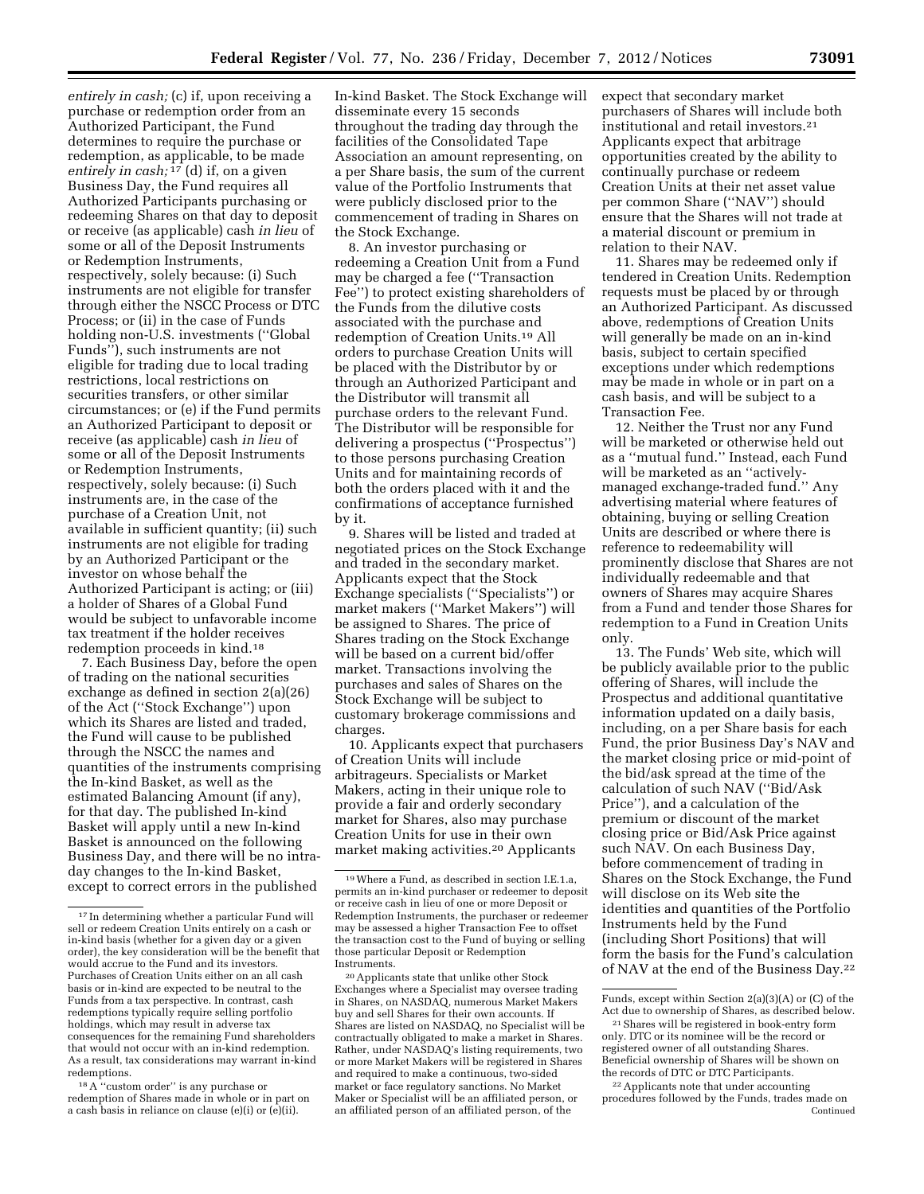*entirely in cash;* (c) if, upon receiving a purchase or redemption order from an Authorized Participant, the Fund determines to require the purchase or redemption, as applicable, to be made *entirely in cash;* 17 (d) if, on a given Business Day, the Fund requires all Authorized Participants purchasing or redeeming Shares on that day to deposit or receive (as applicable) cash *in lieu* of some or all of the Deposit Instruments or Redemption Instruments, respectively, solely because: (i) Such instruments are not eligible for transfer through either the NSCC Process or DTC Process; or (ii) in the case of Funds holding non-U.S. investments (''Global Funds''), such instruments are not eligible for trading due to local trading restrictions, local restrictions on securities transfers, or other similar circumstances; or (e) if the Fund permits an Authorized Participant to deposit or receive (as applicable) cash *in lieu* of some or all of the Deposit Instruments or Redemption Instruments, respectively, solely because: (i) Such instruments are, in the case of the purchase of a Creation Unit, not available in sufficient quantity; (ii) such instruments are not eligible for trading by an Authorized Participant or the investor on whose behalf the Authorized Participant is acting; or (iii) a holder of Shares of a Global Fund would be subject to unfavorable income tax treatment if the holder receives redemption proceeds in kind.18

7. Each Business Day, before the open of trading on the national securities exchange as defined in section 2(a)(26) of the Act (''Stock Exchange'') upon which its Shares are listed and traded, the Fund will cause to be published through the NSCC the names and quantities of the instruments comprising the In-kind Basket, as well as the estimated Balancing Amount (if any), for that day. The published In-kind Basket will apply until a new In-kind Basket is announced on the following Business Day, and there will be no intraday changes to the In-kind Basket, except to correct errors in the published

18A ''custom order'' is any purchase or redemption of Shares made in whole or in part on a cash basis in reliance on clause (e)(i) or (e)(ii).

In-kind Basket. The Stock Exchange will disseminate every 15 seconds throughout the trading day through the facilities of the Consolidated Tape Association an amount representing, on a per Share basis, the sum of the current value of the Portfolio Instruments that were publicly disclosed prior to the commencement of trading in Shares on the Stock Exchange.

8. An investor purchasing or redeeming a Creation Unit from a Fund may be charged a fee (''Transaction Fee'') to protect existing shareholders of the Funds from the dilutive costs associated with the purchase and redemption of Creation Units.19 All orders to purchase Creation Units will be placed with the Distributor by or through an Authorized Participant and the Distributor will transmit all purchase orders to the relevant Fund. The Distributor will be responsible for delivering a prospectus ("Prospectus") to those persons purchasing Creation Units and for maintaining records of both the orders placed with it and the confirmations of acceptance furnished by it.

9. Shares will be listed and traded at negotiated prices on the Stock Exchange and traded in the secondary market. Applicants expect that the Stock Exchange specialists (''Specialists'') or market makers (''Market Makers'') will be assigned to Shares. The price of Shares trading on the Stock Exchange will be based on a current bid/offer market. Transactions involving the purchases and sales of Shares on the Stock Exchange will be subject to customary brokerage commissions and charges.

10. Applicants expect that purchasers of Creation Units will include arbitrageurs. Specialists or Market Makers, acting in their unique role to provide a fair and orderly secondary market for Shares, also may purchase Creation Units for use in their own market making activities.20 Applicants

20Applicants state that unlike other Stock Exchanges where a Specialist may oversee trading in Shares, on NASDAQ, numerous Market Maker buy and sell Shares for their own accounts. If Shares are listed on NASDAQ, no Specialist will be contractually obligated to make a market in Shares. Rather, under NASDAQ's listing requirements, two or more Market Makers will be registered in Shares and required to make a continuous, two-sided market or face regulatory sanctions. No Market Maker or Specialist will be an affiliated person, or an affiliated person of an affiliated person, of the

expect that secondary market purchasers of Shares will include both institutional and retail investors.21 Applicants expect that arbitrage opportunities created by the ability to continually purchase or redeem Creation Units at their net asset value per common Share (''NAV'') should ensure that the Shares will not trade at a material discount or premium in relation to their NAV.

11. Shares may be redeemed only if tendered in Creation Units. Redemption requests must be placed by or through an Authorized Participant. As discussed above, redemptions of Creation Units will generally be made on an in-kind basis, subject to certain specified exceptions under which redemptions may be made in whole or in part on a cash basis, and will be subject to a Transaction Fee.

12. Neither the Trust nor any Fund will be marketed or otherwise held out as a ''mutual fund.'' Instead, each Fund will be marketed as an "activelymanaged exchange-traded fund.'' Any advertising material where features of obtaining, buying or selling Creation Units are described or where there is reference to redeemability will prominently disclose that Shares are not individually redeemable and that owners of Shares may acquire Shares from a Fund and tender those Shares for redemption to a Fund in Creation Units only.

13. The Funds' Web site, which will be publicly available prior to the public offering of Shares, will include the Prospectus and additional quantitative information updated on a daily basis, including, on a per Share basis for each Fund, the prior Business Day's NAV and the market closing price or mid-point of the bid/ask spread at the time of the calculation of such NAV (''Bid/Ask Price''), and a calculation of the premium or discount of the market closing price or Bid/Ask Price against such NAV. On each Business Day, before commencement of trading in Shares on the Stock Exchange, the Fund will disclose on its Web site the identities and quantities of the Portfolio Instruments held by the Fund (including Short Positions) that will form the basis for the Fund's calculation of NAV at the end of the Business Day.22

<sup>17</sup> In determining whether a particular Fund will sell or redeem Creation Units entirely on a cash or in-kind basis (whether for a given day or a given order), the key consideration will be the benefit that would accrue to the Fund and its investors. Purchases of Creation Units either on an all cash basis or in-kind are expected to be neutral to the Funds from a tax perspective. In contrast, cash redemptions typically require selling portfolio holdings, which may result in adverse tax consequences for the remaining Fund shareholders that would not occur with an in-kind redemption. As a result, tax considerations may warrant in-kind redemptions.

<sup>19</sup>Where a Fund, as described in section I.E.1.a, permits an in-kind purchaser or redeemer to deposit or receive cash in lieu of one or more Deposit or Redemption Instruments, the purchaser or redeemer may be assessed a higher Transaction Fee to offset the transaction cost to the Fund of buying or selling those particular Deposit or Redemption Instruments.

Funds, except within Section 2(a)(3)(A) or (C) of the Act due to ownership of Shares, as described below.

<sup>21</sup>Shares will be registered in book-entry form only. DTC or its nominee will be the record or registered owner of all outstanding Shares. Beneficial ownership of Shares will be shown on the records of DTC or DTC Participants.

<sup>22</sup>Applicants note that under accounting procedures followed by the Funds, trades made on Continued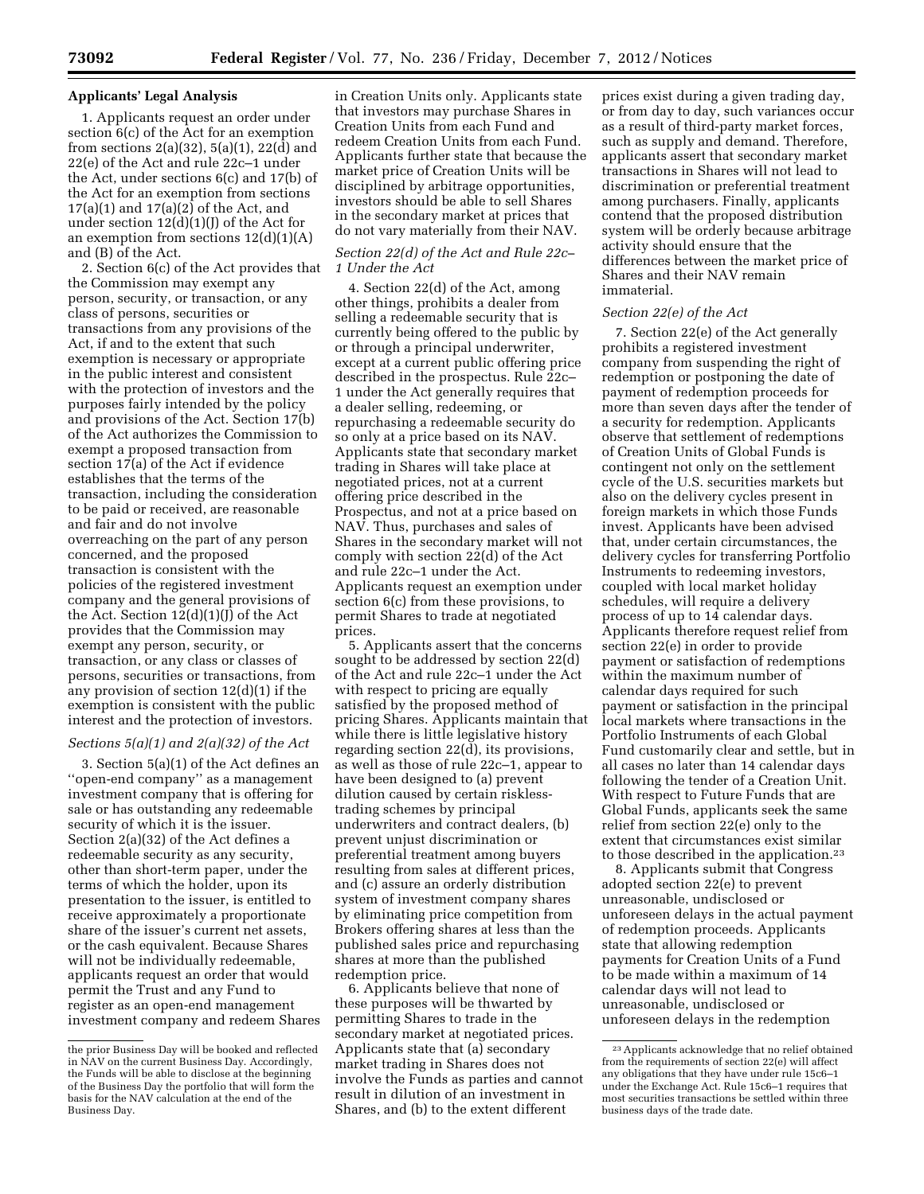## **Applicants' Legal Analysis**

1. Applicants request an order under section 6(c) of the Act for an exemption from sections  $2(a)(32)$ ,  $5(a)(1)$ ,  $22(\overline{d})$  and 22(e) of the Act and rule 22c–1 under the Act, under sections 6(c) and 17(b) of the Act for an exemption from sections 17(a)(1) and 17(a)(2) of the Act, and under section  $12(d)(1)(J)$  of the Act for an exemption from sections  $12(d)(1)(A)$ and (B) of the Act.

2. Section 6(c) of the Act provides that the Commission may exempt any person, security, or transaction, or any class of persons, securities or transactions from any provisions of the Act, if and to the extent that such exemption is necessary or appropriate in the public interest and consistent with the protection of investors and the purposes fairly intended by the policy and provisions of the Act. Section 17(b) of the Act authorizes the Commission to exempt a proposed transaction from section 17(a) of the Act if evidence establishes that the terms of the transaction, including the consideration to be paid or received, are reasonable and fair and do not involve overreaching on the part of any person concerned, and the proposed transaction is consistent with the policies of the registered investment company and the general provisions of the Act. Section 12(d)(1)(J) of the Act provides that the Commission may exempt any person, security, or transaction, or any class or classes of persons, securities or transactions, from any provision of section 12(d)(1) if the exemption is consistent with the public interest and the protection of investors.

#### *Sections 5(a)(1) and 2(a)(32) of the Act*

3. Section 5(a)(1) of the Act defines an ''open-end company'' as a management investment company that is offering for sale or has outstanding any redeemable security of which it is the issuer. Section 2(a)(32) of the Act defines a redeemable security as any security, other than short-term paper, under the terms of which the holder, upon its presentation to the issuer, is entitled to receive approximately a proportionate share of the issuer's current net assets, or the cash equivalent. Because Shares will not be individually redeemable, applicants request an order that would permit the Trust and any Fund to register as an open-end management investment company and redeem Shares

in Creation Units only. Applicants state that investors may purchase Shares in Creation Units from each Fund and redeem Creation Units from each Fund. Applicants further state that because the market price of Creation Units will be disciplined by arbitrage opportunities, investors should be able to sell Shares in the secondary market at prices that do not vary materially from their NAV.

## *Section 22(d) of the Act and Rule 22c– 1 Under the Act*

4. Section 22(d) of the Act, among other things, prohibits a dealer from selling a redeemable security that is currently being offered to the public by or through a principal underwriter, except at a current public offering price described in the prospectus. Rule 22c– 1 under the Act generally requires that a dealer selling, redeeming, or repurchasing a redeemable security do so only at a price based on its NAV. Applicants state that secondary market trading in Shares will take place at negotiated prices, not at a current offering price described in the Prospectus, and not at a price based on NAV. Thus, purchases and sales of Shares in the secondary market will not comply with section 22(d) of the Act and rule 22c–1 under the Act. Applicants request an exemption under section 6(c) from these provisions, to permit Shares to trade at negotiated prices.

5. Applicants assert that the concerns sought to be addressed by section 22(d) of the Act and rule 22c–1 under the Act with respect to pricing are equally satisfied by the proposed method of pricing Shares. Applicants maintain that while there is little legislative history regarding section 22(d), its provisions, as well as those of rule 22c–1, appear to have been designed to (a) prevent dilution caused by certain risklesstrading schemes by principal underwriters and contract dealers, (b) prevent unjust discrimination or preferential treatment among buyers resulting from sales at different prices, and (c) assure an orderly distribution system of investment company shares by eliminating price competition from Brokers offering shares at less than the published sales price and repurchasing shares at more than the published redemption price.

6. Applicants believe that none of these purposes will be thwarted by permitting Shares to trade in the secondary market at negotiated prices. Applicants state that (a) secondary market trading in Shares does not involve the Funds as parties and cannot result in dilution of an investment in Shares, and (b) to the extent different

prices exist during a given trading day, or from day to day, such variances occur as a result of third-party market forces, such as supply and demand. Therefore, applicants assert that secondary market transactions in Shares will not lead to discrimination or preferential treatment among purchasers. Finally, applicants contend that the proposed distribution system will be orderly because arbitrage activity should ensure that the differences between the market price of Shares and their NAV remain immaterial.

#### *Section 22(e) of the Act*

7. Section 22(e) of the Act generally prohibits a registered investment company from suspending the right of redemption or postponing the date of payment of redemption proceeds for more than seven days after the tender of a security for redemption. Applicants observe that settlement of redemptions of Creation Units of Global Funds is contingent not only on the settlement cycle of the U.S. securities markets but also on the delivery cycles present in foreign markets in which those Funds invest. Applicants have been advised that, under certain circumstances, the delivery cycles for transferring Portfolio Instruments to redeeming investors, coupled with local market holiday schedules, will require a delivery process of up to 14 calendar days. Applicants therefore request relief from section 22(e) in order to provide payment or satisfaction of redemptions within the maximum number of calendar days required for such payment or satisfaction in the principal local markets where transactions in the Portfolio Instruments of each Global Fund customarily clear and settle, but in all cases no later than 14 calendar days following the tender of a Creation Unit. With respect to Future Funds that are Global Funds, applicants seek the same relief from section 22(e) only to the extent that circumstances exist similar to those described in the application.23

8. Applicants submit that Congress adopted section 22(e) to prevent unreasonable, undisclosed or unforeseen delays in the actual payment of redemption proceeds. Applicants state that allowing redemption payments for Creation Units of a Fund to be made within a maximum of 14 calendar days will not lead to unreasonable, undisclosed or unforeseen delays in the redemption

the prior Business Day will be booked and reflected in NAV on the current Business Day. Accordingly, the Funds will be able to disclose at the beginning of the Business Day the portfolio that will form the basis for the NAV calculation at the end of the Business Day.

<sup>23</sup>Applicants acknowledge that no relief obtained from the requirements of section 22(e) will affect any obligations that they have under rule 15c6–1 under the Exchange Act. Rule 15c6–1 requires that most securities transactions be settled within three business days of the trade date.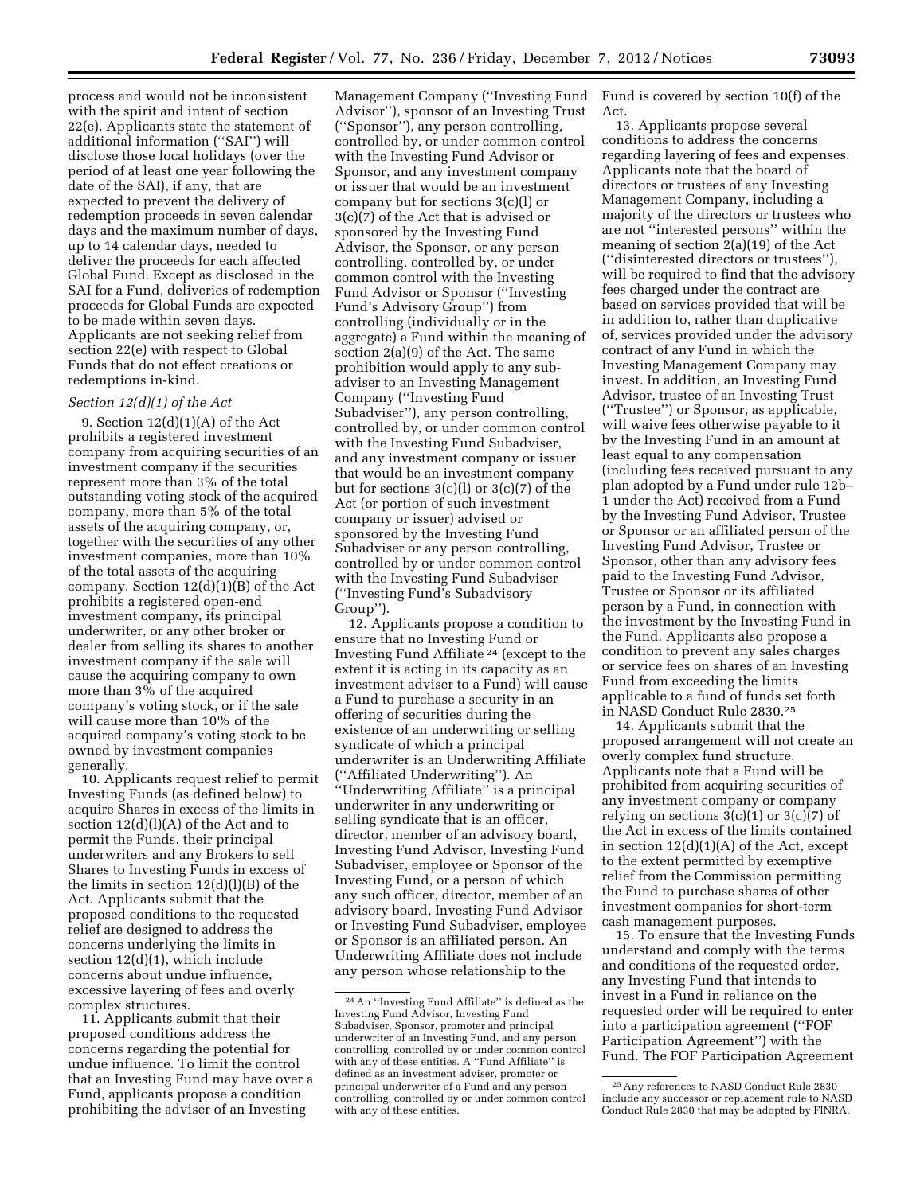process and would not be inconsistent with the spirit and intent of section 22(e). Applicants state the statement of additional information (''SAI'') will disclose those local holidays (over the period of at least one year following the date of the SAI), if any, that are expected to prevent the delivery of redemption proceeds in seven calendar days and the maximum number of days, up to 14 calendar days, needed to deliver the proceeds for each affected Global Fund. Except as disclosed in the SAI for a Fund, deliveries of redemption proceeds for Global Funds are expected to be made within seven days. Applicants are not seeking relief from section 22(e) with respect to Global Funds that do not effect creations or redemptions in-kind.

# *Section 12(d)(1) of the Act*

9. Section  $12(d)(1)(A)$  of the Act prohibits a registered investment company from acquiring securities of an investment company if the securities represent more than 3% of the total outstanding voting stock of the acquired company, more than 5% of the total assets of the acquiring company, or, together with the securities of any other investment companies, more than 10% of the total assets of the acquiring company. Section 12(d)(1)(B) of the Act prohibits a registered open-end investment company, its principal underwriter, or any other broker or dealer from selling its shares to another investment company if the sale will cause the acquiring company to own more than 3% of the acquired company's voting stock, or if the sale will cause more than 10% of the acquired company's voting stock to be owned by investment companies generally.

10. Applicants request relief to permit Investing Funds (as defined below) to acquire Shares in excess of the limits in section 12(d)(l)(A) of the Act and to permit the Funds, their principal underwriters and any Brokers to sell Shares to Investing Funds in excess of the limits in section  $12(d)(l)(B)$  of the Act. Applicants submit that the proposed conditions to the requested relief are designed to address the concerns underlying the limits in section 12(d)(1), which include concerns about undue influence, excessive layering of fees and overly complex structures.

11. Applicants submit that their proposed conditions address the concerns regarding the potential for undue influence. To limit the control that an Investing Fund may have over a Fund, applicants propose a condition prohibiting the adviser of an Investing

Advisor''), sponsor of an Investing Trust (''Sponsor''), any person controlling, controlled by, or under common control with the Investing Fund Advisor or Sponsor, and any investment company or issuer that would be an investment company but for sections 3(c)(l) or 3(c)(7) of the Act that is advised or sponsored by the Investing Fund Advisor, the Sponsor, or any person controlling, controlled by, or under common control with the Investing Fund Advisor or Sponsor (''Investing Fund's Advisory Group'') from controlling (individually or in the aggregate) a Fund within the meaning of section 2(a)(9) of the Act. The same prohibition would apply to any subadviser to an Investing Management Company (''Investing Fund Subadviser''), any person controlling, controlled by, or under common control with the Investing Fund Subadviser, and any investment company or issuer that would be an investment company but for sections 3(c)(l) or 3(c)(7) of the Act (or portion of such investment company or issuer) advised or sponsored by the Investing Fund Subadviser or any person controlling, controlled by or under common control with the Investing Fund Subadviser (''Investing Fund's Subadvisory Group'').

12. Applicants propose a condition to ensure that no Investing Fund or Investing Fund Affiliate 24 (except to the extent it is acting in its capacity as an investment adviser to a Fund) will cause a Fund to purchase a security in an offering of securities during the existence of an underwriting or selling syndicate of which a principal underwriter is an Underwriting Affiliate (''Affiliated Underwriting''). An ''Underwriting Affiliate'' is a principal underwriter in any underwriting or selling syndicate that is an officer, director, member of an advisory board, Investing Fund Advisor, Investing Fund Subadviser, employee or Sponsor of the Investing Fund, or a person of which any such officer, director, member of an advisory board, Investing Fund Advisor or Investing Fund Subadviser, employee or Sponsor is an affiliated person. An Underwriting Affiliate does not include any person whose relationship to the

Management Company (''Investing Fund Fund is covered by section 10(f) of the Act.

> 13. Applicants propose several conditions to address the concerns regarding layering of fees and expenses. Applicants note that the board of directors or trustees of any Investing Management Company, including a majority of the directors or trustees who are not ''interested persons'' within the meaning of section 2(a)(19) of the Act (''disinterested directors or trustees''), will be required to find that the advisory fees charged under the contract are based on services provided that will be in addition to, rather than duplicative of, services provided under the advisory contract of any Fund in which the Investing Management Company may invest. In addition, an Investing Fund Advisor, trustee of an Investing Trust (''Trustee'') or Sponsor, as applicable, will waive fees otherwise payable to it by the Investing Fund in an amount at least equal to any compensation (including fees received pursuant to any plan adopted by a Fund under rule 12b– 1 under the Act) received from a Fund by the Investing Fund Advisor, Trustee or Sponsor or an affiliated person of the Investing Fund Advisor, Trustee or Sponsor, other than any advisory fees paid to the Investing Fund Advisor, Trustee or Sponsor or its affiliated person by a Fund, in connection with the investment by the Investing Fund in the Fund. Applicants also propose a condition to prevent any sales charges or service fees on shares of an Investing Fund from exceeding the limits applicable to a fund of funds set forth in NASD Conduct Rule 2830.25

> 14. Applicants submit that the proposed arrangement will not create an overly complex fund structure. Applicants note that a Fund will be prohibited from acquiring securities of any investment company or company relying on sections  $3(c)(1)$  or  $3(c)(7)$  of the Act in excess of the limits contained in section  $12(d)(1)(A)$  of the Act, except to the extent permitted by exemptive relief from the Commission permitting the Fund to purchase shares of other investment companies for short-term cash management purposes.

> 15. To ensure that the Investing Funds understand and comply with the terms and conditions of the requested order, any Investing Fund that intends to invest in a Fund in reliance on the requested order will be required to enter into a participation agreement (''FOF Participation Agreement'') with the Fund. The FOF Participation Agreement

<sup>24</sup>An ''Investing Fund Affiliate'' is defined as the Investing Fund Advisor, Investing Fund Subadviser, Sponsor, promoter and principal underwriter of an Investing Fund, and any person controlling, controlled by or under common control with any of these entities. A ''Fund Affiliate'' is defined as an investment adviser, promoter or principal underwriter of a Fund and any person controlling, controlled by or under common control with any of these entities.

<sup>25</sup>Any references to NASD Conduct Rule 2830 include any successor or replacement rule to NASD Conduct Rule 2830 that may be adopted by FINRA.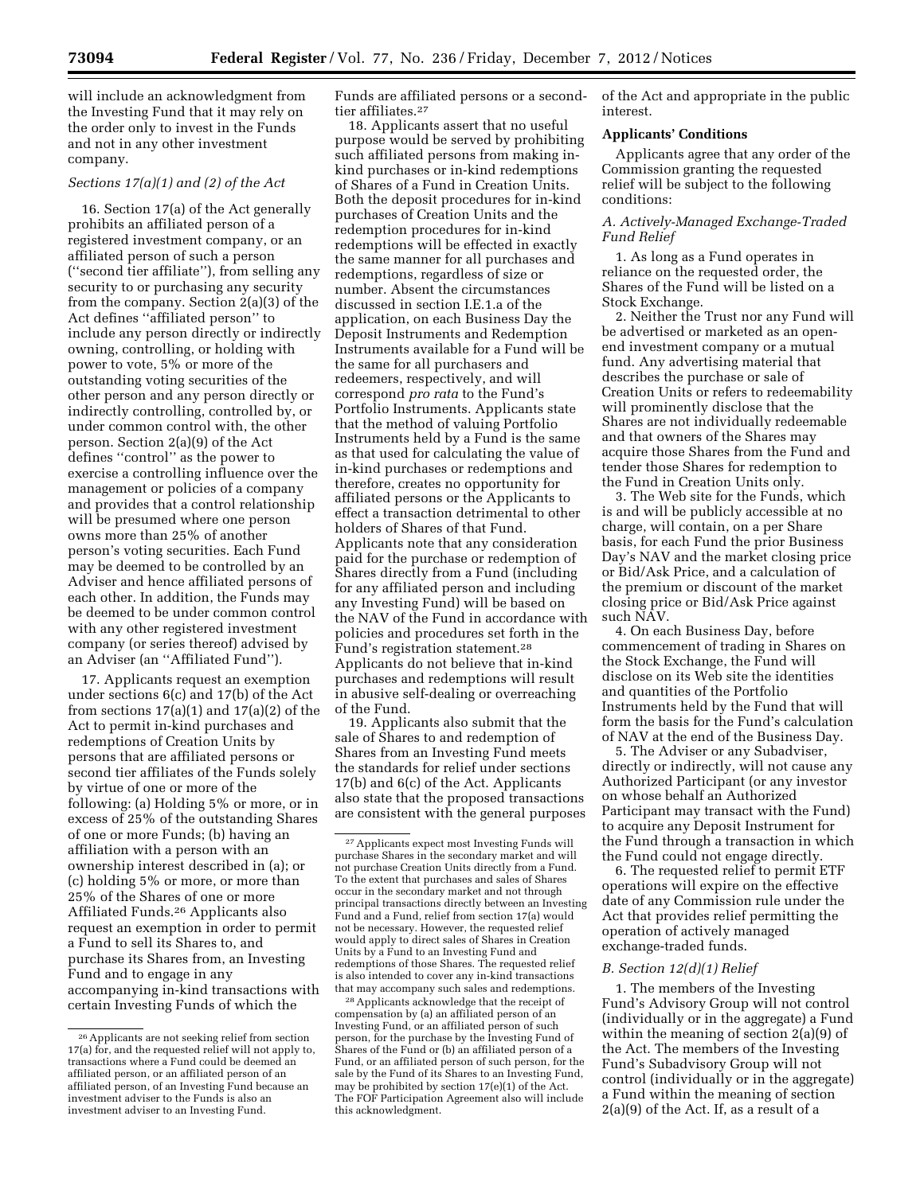will include an acknowledgment from the Investing Fund that it may rely on the order only to invest in the Funds and not in any other investment company.

## *Sections 17(a)(1) and (2) of the Act*

16. Section 17(a) of the Act generally prohibits an affiliated person of a registered investment company, or an affiliated person of such a person (''second tier affiliate''), from selling any security to or purchasing any security from the company. Section 2(a)(3) of the Act defines ''affiliated person'' to include any person directly or indirectly owning, controlling, or holding with power to vote, 5% or more of the outstanding voting securities of the other person and any person directly or indirectly controlling, controlled by, or under common control with, the other person. Section 2(a)(9) of the Act defines ''control'' as the power to exercise a controlling influence over the management or policies of a company and provides that a control relationship will be presumed where one person owns more than 25% of another person's voting securities. Each Fund may be deemed to be controlled by an Adviser and hence affiliated persons of each other. In addition, the Funds may be deemed to be under common control with any other registered investment company (or series thereof) advised by an Adviser (an ''Affiliated Fund'').

17. Applicants request an exemption under sections 6(c) and 17(b) of the Act from sections  $17(a)(1)$  and  $17(a)(2)$  of the Act to permit in-kind purchases and redemptions of Creation Units by persons that are affiliated persons or second tier affiliates of the Funds solely by virtue of one or more of the following: (a) Holding 5% or more, or in excess of 25% of the outstanding Shares of one or more Funds; (b) having an affiliation with a person with an ownership interest described in (a); or (c) holding 5% or more, or more than 25% of the Shares of one or more Affiliated Funds.26 Applicants also request an exemption in order to permit a Fund to sell its Shares to, and purchase its Shares from, an Investing Fund and to engage in any accompanying in-kind transactions with certain Investing Funds of which the

Funds are affiliated persons or a secondtier affiliates.27

18. Applicants assert that no useful purpose would be served by prohibiting such affiliated persons from making inkind purchases or in-kind redemptions of Shares of a Fund in Creation Units. Both the deposit procedures for in-kind purchases of Creation Units and the redemption procedures for in-kind redemptions will be effected in exactly the same manner for all purchases and redemptions, regardless of size or number. Absent the circumstances discussed in section I.E.1.a of the application, on each Business Day the Deposit Instruments and Redemption Instruments available for a Fund will be the same for all purchasers and redeemers, respectively, and will correspond *pro rata* to the Fund's Portfolio Instruments. Applicants state that the method of valuing Portfolio Instruments held by a Fund is the same as that used for calculating the value of in-kind purchases or redemptions and therefore, creates no opportunity for affiliated persons or the Applicants to effect a transaction detrimental to other holders of Shares of that Fund. Applicants note that any consideration paid for the purchase or redemption of Shares directly from a Fund (including for any affiliated person and including any Investing Fund) will be based on the NAV of the Fund in accordance with policies and procedures set forth in the Fund's registration statement.28 Applicants do not believe that in-kind purchases and redemptions will result in abusive self-dealing or overreaching of the Fund.

19. Applicants also submit that the sale of Shares to and redemption of Shares from an Investing Fund meets the standards for relief under sections 17(b) and 6(c) of the Act. Applicants also state that the proposed transactions are consistent with the general purposes

28Applicants acknowledge that the receipt of compensation by (a) an affiliated person of an Investing Fund, or an affiliated person of such person, for the purchase by the Investing Fund of Shares of the Fund or (b) an affiliated person of a Fund, or an affiliated person of such person, for the sale by the Fund of its Shares to an Investing Fund, may be prohibited by section 17(e)(1) of the Act. The FOF Participation Agreement also will include this acknowledgment.

of the Act and appropriate in the public interest.

## **Applicants' Conditions**

Applicants agree that any order of the Commission granting the requested relief will be subject to the following conditions:

# *A. Actively-Managed Exchange-Traded Fund Relief*

1. As long as a Fund operates in reliance on the requested order, the Shares of the Fund will be listed on a Stock Exchange.

2. Neither the Trust nor any Fund will be advertised or marketed as an openend investment company or a mutual fund. Any advertising material that describes the purchase or sale of Creation Units or refers to redeemability will prominently disclose that the Shares are not individually redeemable and that owners of the Shares may acquire those Shares from the Fund and tender those Shares for redemption to the Fund in Creation Units only.

3. The Web site for the Funds, which is and will be publicly accessible at no charge, will contain, on a per Share basis, for each Fund the prior Business Day's NAV and the market closing price or Bid/Ask Price, and a calculation of the premium or discount of the market closing price or Bid/Ask Price against such NAV.

4. On each Business Day, before commencement of trading in Shares on the Stock Exchange, the Fund will disclose on its Web site the identities and quantities of the Portfolio Instruments held by the Fund that will form the basis for the Fund's calculation of NAV at the end of the Business Day.

5. The Adviser or any Subadviser, directly or indirectly, will not cause any Authorized Participant (or any investor on whose behalf an Authorized Participant may transact with the Fund) to acquire any Deposit Instrument for the Fund through a transaction in which the Fund could not engage directly.

6. The requested relief to permit ETF operations will expire on the effective date of any Commission rule under the Act that provides relief permitting the operation of actively managed exchange-traded funds.

#### *B. Section 12(d)(1) Relief*

1. The members of the Investing Fund's Advisory Group will not control (individually or in the aggregate) a Fund within the meaning of section 2(a)(9) of the Act. The members of the Investing Fund's Subadvisory Group will not control (individually or in the aggregate) a Fund within the meaning of section 2(a)(9) of the Act. If, as a result of a

<sup>26</sup>Applicants are not seeking relief from section 17(a) for, and the requested relief will not apply to, transactions where a Fund could be deemed an affiliated person, or an affiliated person of an affiliated person, of an Investing Fund because an investment adviser to the Funds is also an investment adviser to an Investing Fund.

<sup>27</sup>Applicants expect most Investing Funds will purchase Shares in the secondary market and will not purchase Creation Units directly from a Fund. To the extent that purchases and sales of Shares occur in the secondary market and not through principal transactions directly between an Investing Fund and a Fund, relief from section 17(a) would not be necessary. However, the requested relief would apply to direct sales of Shares in Creation Units by a Fund to an Investing Fund and redemptions of those Shares. The requested relief is also intended to cover any in-kind transactions that may accompany such sales and redemptions.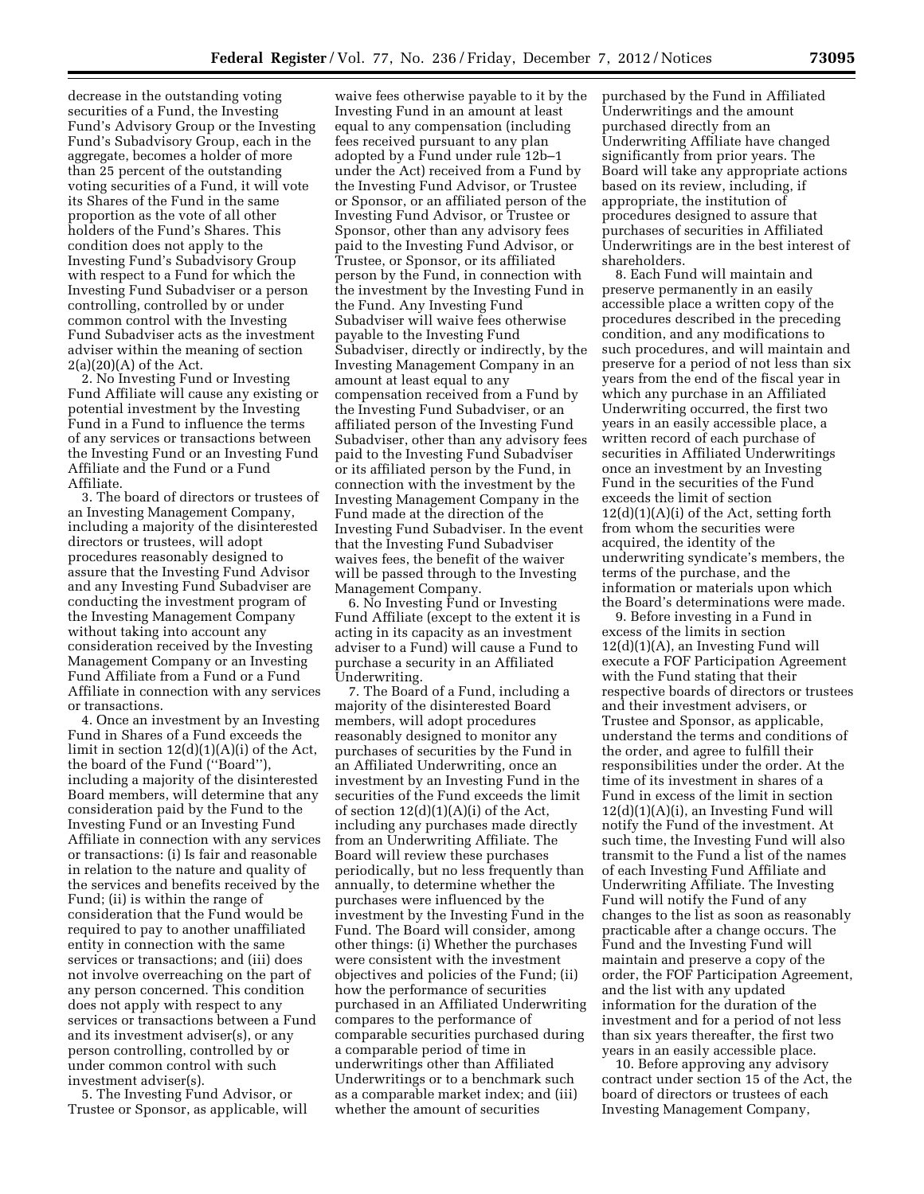decrease in the outstanding voting securities of a Fund, the Investing Fund's Advisory Group or the Investing Fund's Subadvisory Group, each in the aggregate, becomes a holder of more than 25 percent of the outstanding voting securities of a Fund, it will vote its Shares of the Fund in the same proportion as the vote of all other holders of the Fund's Shares. This condition does not apply to the Investing Fund's Subadvisory Group with respect to a Fund for which the Investing Fund Subadviser or a person controlling, controlled by or under common control with the Investing Fund Subadviser acts as the investment adviser within the meaning of section  $2(a)(20)(A)$  of the Act.

2. No Investing Fund or Investing Fund Affiliate will cause any existing or potential investment by the Investing Fund in a Fund to influence the terms of any services or transactions between the Investing Fund or an Investing Fund Affiliate and the Fund or a Fund Affiliate.

3. The board of directors or trustees of an Investing Management Company, including a majority of the disinterested directors or trustees, will adopt procedures reasonably designed to assure that the Investing Fund Advisor and any Investing Fund Subadviser are conducting the investment program of the Investing Management Company without taking into account any consideration received by the Investing Management Company or an Investing Fund Affiliate from a Fund or a Fund Affiliate in connection with any services or transactions.

4. Once an investment by an Investing Fund in Shares of a Fund exceeds the limit in section 12(d)(1)(A)(i) of the Act, the board of the Fund (''Board''), including a majority of the disinterested Board members, will determine that any consideration paid by the Fund to the Investing Fund or an Investing Fund Affiliate in connection with any services or transactions: (i) Is fair and reasonable in relation to the nature and quality of the services and benefits received by the Fund; (ii) is within the range of consideration that the Fund would be required to pay to another unaffiliated entity in connection with the same services or transactions; and (iii) does not involve overreaching on the part of any person concerned. This condition does not apply with respect to any services or transactions between a Fund and its investment adviser(s), or any person controlling, controlled by or under common control with such investment adviser(s).

5. The Investing Fund Advisor, or Trustee or Sponsor, as applicable, will

waive fees otherwise payable to it by the Investing Fund in an amount at least equal to any compensation (including fees received pursuant to any plan adopted by a Fund under rule 12b–1 under the Act) received from a Fund by the Investing Fund Advisor, or Trustee or Sponsor, or an affiliated person of the Investing Fund Advisor, or Trustee or Sponsor, other than any advisory fees paid to the Investing Fund Advisor, or Trustee, or Sponsor, or its affiliated person by the Fund, in connection with the investment by the Investing Fund in the Fund. Any Investing Fund Subadviser will waive fees otherwise payable to the Investing Fund Subadviser, directly or indirectly, by the Investing Management Company in an amount at least equal to any compensation received from a Fund by the Investing Fund Subadviser, or an affiliated person of the Investing Fund Subadviser, other than any advisory fees paid to the Investing Fund Subadviser or its affiliated person by the Fund, in connection with the investment by the Investing Management Company in the Fund made at the direction of the Investing Fund Subadviser. In the event that the Investing Fund Subadviser waives fees, the benefit of the waiver will be passed through to the Investing Management Company.

6. No Investing Fund or Investing Fund Affiliate (except to the extent it is acting in its capacity as an investment adviser to a Fund) will cause a Fund to purchase a security in an Affiliated Underwriting.

7. The Board of a Fund, including a majority of the disinterested Board members, will adopt procedures reasonably designed to monitor any purchases of securities by the Fund in an Affiliated Underwriting, once an investment by an Investing Fund in the securities of the Fund exceeds the limit of section  $12(d)(1)(A)(i)$  of the Act, including any purchases made directly from an Underwriting Affiliate. The Board will review these purchases periodically, but no less frequently than annually, to determine whether the purchases were influenced by the investment by the Investing Fund in the Fund. The Board will consider, among other things: (i) Whether the purchases were consistent with the investment objectives and policies of the Fund; (ii) how the performance of securities purchased in an Affiliated Underwriting compares to the performance of comparable securities purchased during a comparable period of time in underwritings other than Affiliated Underwritings or to a benchmark such as a comparable market index; and (iii) whether the amount of securities

purchased by the Fund in Affiliated Underwritings and the amount purchased directly from an Underwriting Affiliate have changed significantly from prior years. The Board will take any appropriate actions based on its review, including, if appropriate, the institution of procedures designed to assure that purchases of securities in Affiliated Underwritings are in the best interest of shareholders.

8. Each Fund will maintain and preserve permanently in an easily accessible place a written copy of the procedures described in the preceding condition, and any modifications to such procedures, and will maintain and preserve for a period of not less than six years from the end of the fiscal year in which any purchase in an Affiliated Underwriting occurred, the first two years in an easily accessible place, a written record of each purchase of securities in Affiliated Underwritings once an investment by an Investing Fund in the securities of the Fund exceeds the limit of section  $12(d)(1)(A)(i)$  of the Act, setting forth from whom the securities were acquired, the identity of the underwriting syndicate's members, the terms of the purchase, and the information or materials upon which the Board's determinations were made.

9. Before investing in a Fund in excess of the limits in section 12(d)(1)(A), an Investing Fund will execute a FOF Participation Agreement with the Fund stating that their respective boards of directors or trustees and their investment advisers, or Trustee and Sponsor, as applicable, understand the terms and conditions of the order, and agree to fulfill their responsibilities under the order. At the time of its investment in shares of a Fund in excess of the limit in section  $12(d)(1)(A)(i)$ , an Investing Fund will notify the Fund of the investment. At such time, the Investing Fund will also transmit to the Fund a list of the names of each Investing Fund Affiliate and Underwriting Affiliate. The Investing Fund will notify the Fund of any changes to the list as soon as reasonably practicable after a change occurs. The Fund and the Investing Fund will maintain and preserve a copy of the order, the FOF Participation Agreement, and the list with any updated information for the duration of the investment and for a period of not less than six years thereafter, the first two years in an easily accessible place.

10. Before approving any advisory contract under section 15 of the Act, the board of directors or trustees of each Investing Management Company,